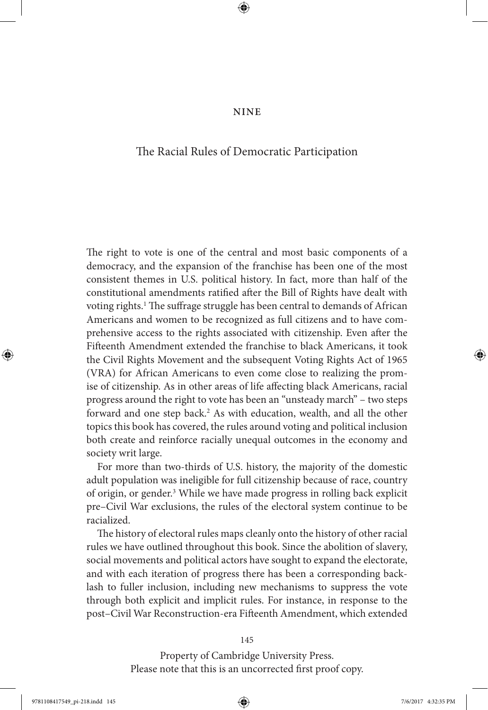## **NINE**

# The Racial Rules of Democratic Participation

The right to vote is one of the central and most basic components of a democracy, and the expansion of the franchise has been one of the most consistent themes in U.S. political history. In fact, more than half of the constitutional amendments ratified after the Bill of Rights have dealt with voting rights.1 The suffrage struggle has been central to demands of African Americans and women to be recognized as full citizens and to have comprehensive access to the rights associated with citizenship. Even after the Fifteenth Amendment extended the franchise to black Americans, it took the Civil Rights Movement and the subsequent Voting Rights Act of 1965 (VRA) for African Americans to even come close to realizing the promise of citizenship. As in other areas of life affecting black Americans, racial progress around the right to vote has been an "unsteady march" – two steps forward and one step back.<sup>2</sup> As with education, wealth, and all the other topics this book has covered, the rules around voting and political inclusion both create and reinforce racially unequal outcomes in the economy and society writ large.

For more than two-thirds of U.S. history, the majority of the domestic adult population was ineligible for full citizenship because of race, country of origin, or gender.<sup>3</sup> While we have made progress in rolling back explicit pre–Civil War exclusions, the rules of the electoral system continue to be racialized.

The history of electoral rules maps cleanly onto the history of other racial rules we have outlined throughout this book. Since the abolition of slavery, social movements and political actors have sought to expand the electorate, and with each iteration of progress there has been a corresponding backlash to fuller inclusion, including new mechanisms to suppress the vote through both explicit and implicit rules. For instance, in response to the post–Civil War Reconstruction-era Fifteenth Amendment, which extended

145

Property of Cambridge University Press. Please note that this is an uncorrected first proof copy.

⊕

⇔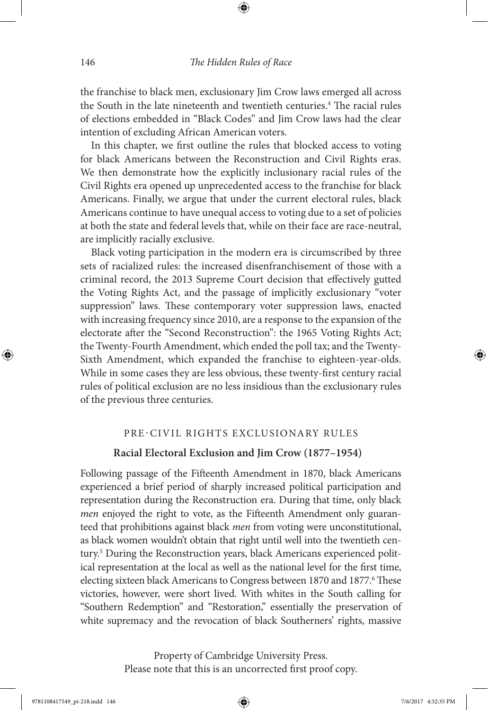the franchise to black men, exclusionary Jim Crow laws emerged all across the South in the late nineteenth and twentieth centuries.<sup>4</sup> The racial rules of elections embedded in "Black Codes" and Jim Crow laws had the clear intention of excluding African American voters.

In this chapter, we first outline the rules that blocked access to voting for black Americans between the Reconstruction and Civil Rights eras. We then demonstrate how the explicitly inclusionary racial rules of the Civil Rights era opened up unprecedented access to the franchise for black Americans. Finally, we argue that under the current electoral rules, black Americans continue to have unequal access to voting due to a set of policies at both the state and federal levels that, while on their face are race-neutral, are implicitly racially exclusive.

Black voting participation in the modern era is circumscribed by three sets of racialized rules: the increased disenfranchisement of those with a criminal record, the 2013 Supreme Court decision that effectively gutted the Voting Rights Act, and the passage of implicitly exclusionary "voter suppression" laws. These contemporary voter suppression laws, enacted with increasing frequency since 2010, are a response to the expansion of the electorate after the "Second Reconstruction": the 1965 Voting Rights Act; the Twenty-Fourth Amendment, which ended the poll tax; and the Twenty-Sixth Amendment, which expanded the franchise to eighteen-year-olds. While in some cases they are less obvious, these twenty-first century racial rules of political exclusion are no less insidious than the exclusionary rules of the previous three centuries.

## PRE-CIVIL RIGHTS EXCLUSIONARY RULES

## **Racial Electoral Exclusion and Jim Crow (1877–1954)**

Following passage of the Fifteenth Amendment in 1870, black Americans experienced a brief period of sharply increased political participation and representation during the Reconstruction era. During that time, only black *men* enjoyed the right to vote, as the Fifteenth Amendment only guaranteed that prohibitions against black *men* from voting were unconstitutional, as black women wouldn't obtain that right until well into the twentieth century.<sup>5</sup> During the Reconstruction years, black Americans experienced political representation at the local as well as the national level for the first time, electing sixteen black Americans to Congress between 1870 and 1877.<sup>6</sup> These victories, however, were short lived. With whites in the South calling for "Southern Redemption" and "Restoration," essentially the preservation of white supremacy and the revocation of black Southerners' rights, massive

> Property of Cambridge University Press. Please note that this is an uncorrected first proof copy.

⊕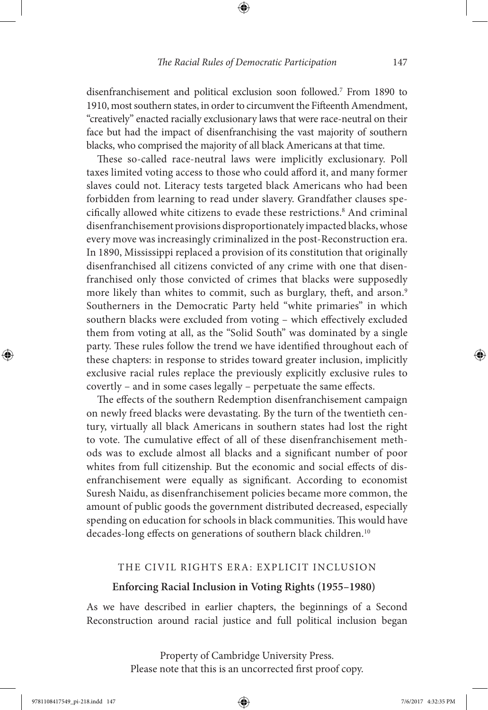disenfranchisement and political exclusion soon followed.7 From 1890 to 1910, most southern states, in order to circumvent the Fifteenth Amendment, "creatively" enacted racially exclusionary laws that were race-neutral on their face but had the impact of disenfranchising the vast majority of southern blacks, who comprised the majority of all black Americans at that time.

These so-called race-neutral laws were implicitly exclusionary. Poll taxes limited voting access to those who could afford it, and many former slaves could not. Literacy tests targeted black Americans who had been forbidden from learning to read under slavery. Grandfather clauses specifically allowed white citizens to evade these restrictions.<sup>8</sup> And criminal disenfranchisement provisions disproportionately impacted blacks, whose every move was increasingly criminalized in the post-Reconstruction era. In 1890, Mississippi replaced a provision of its constitution that originally disenfranchised all citizens convicted of any crime with one that disenfranchised only those convicted of crimes that blacks were supposedly more likely than whites to commit, such as burglary, theft, and arson.<sup>9</sup> Southerners in the Democratic Party held "white primaries" in which southern blacks were excluded from voting – which effectively excluded them from voting at all, as the "Solid South" was dominated by a single party. These rules follow the trend we have identified throughout each of these chapters: in response to strides toward greater inclusion, implicitly exclusive racial rules replace the previously explicitly exclusive rules to covertly – and in some cases legally – perpetuate the same effects.

The effects of the southern Redemption disenfranchisement campaign on newly freed blacks were devastating. By the turn of the twentieth century, virtually all black Americans in southern states had lost the right to vote. The cumulative effect of all of these disenfranchisement methods was to exclude almost all blacks and a significant number of poor whites from full citizenship. But the economic and social effects of disenfranchisement were equally as significant. According to economist Suresh Naidu, as disenfranchisement policies became more common, the amount of public goods the government distributed decreased, especially spending on education for schools in black communities. This would have decades-long effects on generations of southern black children.10

## THE CIVIL RIGHTS ERA: EXPLICIT INCLUSION

#### **Enforcing Racial Inclusion in Voting Rights (1955–1980)**

As we have described in earlier chapters, the beginnings of a Second Reconstruction around racial justice and full political inclusion began

> Property of Cambridge University Press. Please note that this is an uncorrected first proof copy.

⊕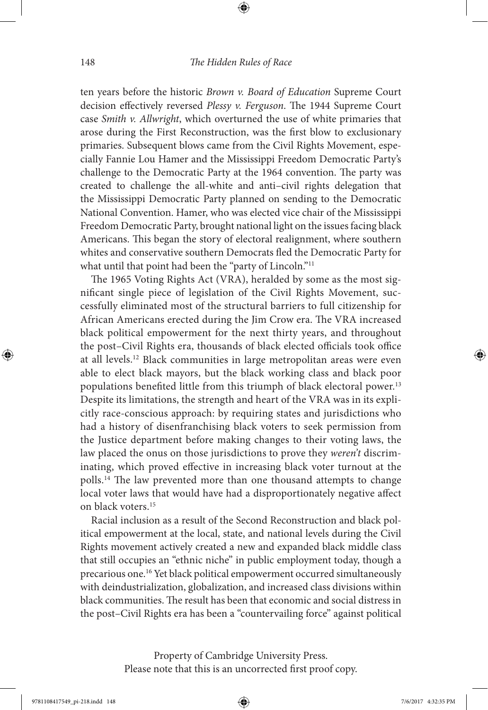ten years before the historic *Brown v. Board of Education* Supreme Court decision effectively reversed *Plessy v. Ferguson*. The 1944 Supreme Court case *Smith v. Allwright*, which overturned the use of white primaries that arose during the First Reconstruction, was the first blow to exclusionary primaries. Subsequent blows came from the Civil Rights Movement, especially Fannie Lou Hamer and the Mississippi Freedom Democratic Party's challenge to the Democratic Party at the 1964 convention. The party was created to challenge the all-white and anti–civil rights delegation that the Mississippi Democratic Party planned on sending to the Democratic National Convention. Hamer, who was elected vice chair of the Mississippi Freedom Democratic Party, brought national light on the issues facing black Americans. This began the story of electoral realignment, where southern whites and conservative southern Democrats fled the Democratic Party for what until that point had been the "party of Lincoln."<sup>11</sup>

The 1965 Voting Rights Act (VRA), heralded by some as the most significant single piece of legislation of the Civil Rights Movement, successfully eliminated most of the structural barriers to full citizenship for African Americans erected during the Jim Crow era. The VRA increased black political empowerment for the next thirty years, and throughout the post–Civil Rights era, thousands of black elected officials took office at all levels.12 Black communities in large metropolitan areas were even able to elect black mayors, but the black working class and black poor populations benefited little from this triumph of black electoral power.13 Despite its limitations, the strength and heart of the VRA was in its explicitly race-conscious approach: by requiring states and jurisdictions who had a history of disenfranchising black voters to seek permission from the Justice department before making changes to their voting laws, the law placed the onus on those jurisdictions to prove they *weren't* discriminating, which proved effective in increasing black voter turnout at the polls.14 The law prevented more than one thousand attempts to change local voter laws that would have had a disproportionately negative affect on black voters.15

Racial inclusion as a result of the Second Reconstruction and black political empowerment at the local, state, and national levels during the Civil Rights movement actively created a new and expanded black middle class that still occupies an "ethnic niche" in public employment today, though a precarious one.16 Yet black political empowerment occurred simultaneously with deindustrialization, globalization, and increased class divisions within black communities. The result has been that economic and social distress in the post–Civil Rights era has been a "countervailing force" against political

> Property of Cambridge University Press. Please note that this is an uncorrected first proof copy.

↔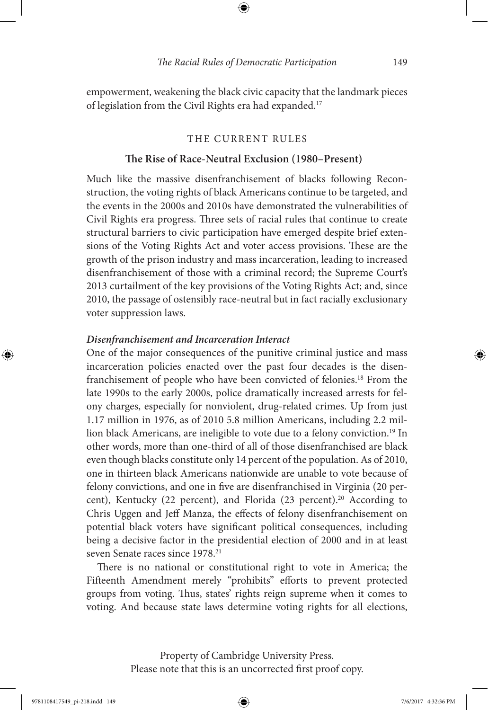empowerment, weakening the black civic capacity that the landmark pieces of legislation from the Civil Rights era had expanded.<sup>17</sup>

## THE CURRENT RULES

#### **The Rise of Race-Neutral Exclusion (1980–Present)**

Much like the massive disenfranchisement of blacks following Reconstruction, the voting rights of black Americans continue to be targeted, and the events in the 2000s and 2010s have demonstrated the vulnerabilities of Civil Rights era progress. Three sets of racial rules that continue to create structural barriers to civic participation have emerged despite brief extensions of the Voting Rights Act and voter access provisions. These are the growth of the prison industry and mass incarceration, leading to increased disenfranchisement of those with a criminal record; the Supreme Court's 2013 curtailment of the key provisions of the Voting Rights Act; and, since 2010, the passage of ostensibly race-neutral but in fact racially exclusionary voter suppression laws.

## *Disenfranchisement and Incarceration Interact*

One of the major consequences of the punitive criminal justice and mass incarceration policies enacted over the past four decades is the disenfranchisement of people who have been convicted of felonies.18 From the late 1990s to the early 2000s, police dramatically increased arrests for felony charges, especially for nonviolent, drug-related crimes. Up from just 1.17 million in 1976, as of 2010 5.8 million Americans, including 2.2 million black Americans, are ineligible to vote due to a felony conviction.<sup>19</sup> In other words, more than one-third of all of those disenfranchised are black even though blacks constitute only 14 percent of the population. As of 2010, one in thirteen black Americans nationwide are unable to vote because of felony convictions, and one in five are disenfranchised in Virginia (20 percent), Kentucky (22 percent), and Florida (23 percent).<sup>20</sup> According to Chris Uggen and Jeff Manza, the effects of felony disenfranchisement on potential black voters have significant political consequences, including being a decisive factor in the presidential election of 2000 and in at least seven Senate races since 1978.<sup>21</sup>

There is no national or constitutional right to vote in America; the Fifteenth Amendment merely "prohibits" efforts to prevent protected groups from voting. Thus, states' rights reign supreme when it comes to voting. And because state laws determine voting rights for all elections,

> Property of Cambridge University Press. Please note that this is an uncorrected first proof copy.

⊕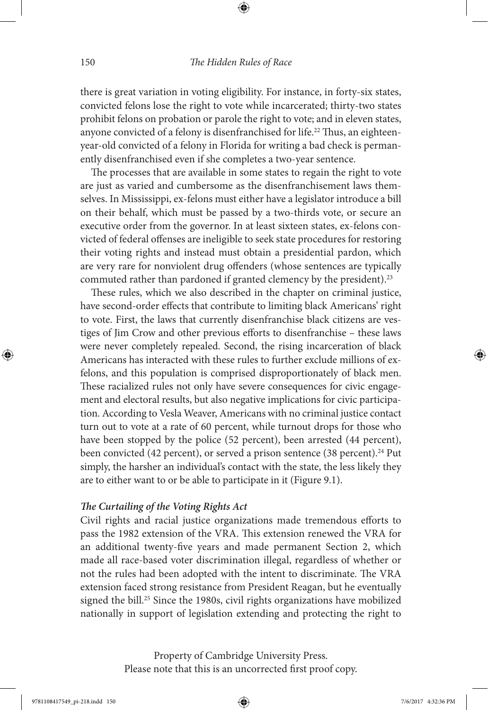there is great variation in voting eligibility. For instance, in forty-six states, convicted felons lose the right to vote while incarcerated; thirty-two states prohibit felons on probation or parole the right to vote; and in eleven states, anyone convicted of a felony is disenfranchised for life.<sup>22</sup> Thus, an eighteenyear-old convicted of a felony in Florida for writing a bad check is permanently disenfranchised even if she completes a two-year sentence.

The processes that are available in some states to regain the right to vote are just as varied and cumbersome as the disenfranchisement laws themselves. In Mississippi, ex-felons must either have a legislator introduce a bill on their behalf, which must be passed by a two-thirds vote, or secure an executive order from the governor. In at least sixteen states, ex-felons convicted of federal offenses are ineligible to seek state procedures for restoring their voting rights and instead must obtain a presidential pardon, which are very rare for nonviolent drug offenders (whose sentences are typically commuted rather than pardoned if granted clemency by the president).<sup>23</sup>

These rules, which we also described in the chapter on criminal justice, have second-order effects that contribute to limiting black Americans' right to vote. First, the laws that currently disenfranchise black citizens are vestiges of Jim Crow and other previous efforts to disenfranchise – these laws were never completely repealed. Second, the rising incarceration of black Americans has interacted with these rules to further exclude millions of exfelons, and this population is comprised disproportionately of black men. These racialized rules not only have severe consequences for civic engagement and electoral results, but also negative implications for civic participation. According to Vesla Weaver, Americans with no criminal justice contact turn out to vote at a rate of 60 percent, while turnout drops for those who have been stopped by the police (52 percent), been arrested (44 percent), been convicted (42 percent), or served a prison sentence (38 percent).<sup>24</sup> Put simply, the harsher an individual's contact with the state, the less likely they are to either want to or be able to participate in it (Figure 9.1).

## *The Curtailing of the Voting Rights Act*

Civil rights and racial justice organizations made tremendous efforts to pass the 1982 extension of the VRA. This extension renewed the VRA for an additional twenty-five years and made permanent Section 2, which made all race-based voter discrimination illegal, regardless of whether or not the rules had been adopted with the intent to discriminate. The VRA extension faced strong resistance from President Reagan, but he eventually signed the bill.<sup>25</sup> Since the 1980s, civil rights organizations have mobilized nationally in support of legislation extending and protecting the right to

> Property of Cambridge University Press. Please note that this is an uncorrected first proof copy.

⊕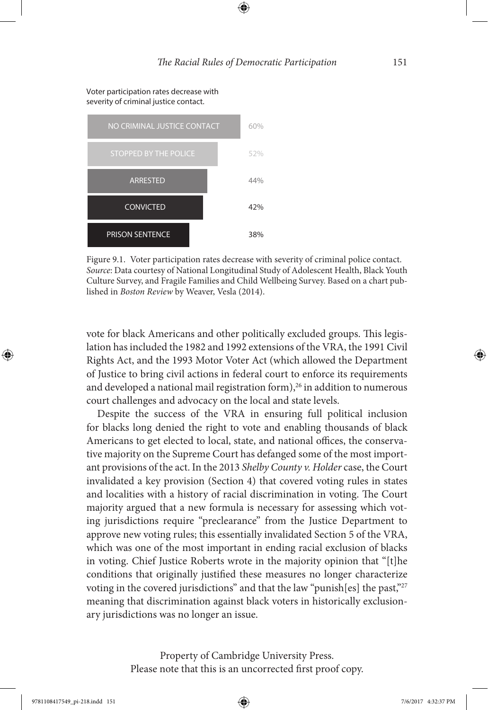#### Voter participation rates decrease with severity of criminal justice contact.



Figure 9.1. Voter participation rates decrease with severity of criminal police contact. *Source*: Data courtesy of National Longitudinal Study of Adolescent Health, Black Youth Culture Survey, and Fragile Families and Child Wellbeing Survey. Based on a chart published in *Boston Review* by Weaver, Vesla (2014).

vote for black Americans and other politically excluded groups. This legislation has included the 1982 and 1992 extensions of the VRA, the 1991 Civil Rights Act, and the 1993 Motor Voter Act (which allowed the Department of Justice to bring civil actions in federal court to enforce its requirements and developed a national mail registration form), $26$  in addition to numerous court challenges and advocacy on the local and state levels.

Despite the success of the VRA in ensuring full political inclusion for blacks long denied the right to vote and enabling thousands of black Americans to get elected to local, state, and national offices, the conservative majority on the Supreme Court has defanged some of the most important provisions of the act. In the 2013 *Shelby County v. Holder* case, the Court invalidated a key provision (Section 4) that covered voting rules in states and localities with a history of racial discrimination in voting. The Court majority argued that a new formula is necessary for assessing which voting jurisdictions require "preclearance" from the Justice Department to approve new voting rules; this essentially invalidated Section 5 of the VRA, which was one of the most important in ending racial exclusion of blacks in voting. Chief Justice Roberts wrote in the majority opinion that "[t]he conditions that originally justified these measures no longer characterize voting in the covered jurisdictions" and that the law "punish[es] the past,"27 meaning that discrimination against black voters in historically exclusionary jurisdictions was no longer an issue.

> Property of Cambridge University Press. Please note that this is an uncorrected first proof copy.

⊕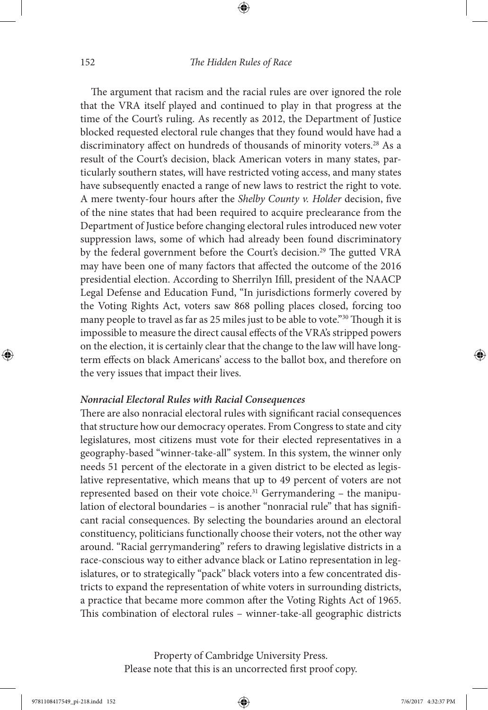# 152 *The Hidden Rules of Race*

⊕

The argument that racism and the racial rules are over ignored the role that the VRA itself played and continued to play in that progress at the time of the Court's ruling. As recently as 2012, the Department of Justice blocked requested electoral rule changes that they found would have had a discriminatory affect on hundreds of thousands of minority voters.<sup>28</sup> As a result of the Court's decision, black American voters in many states, particularly southern states, will have restricted voting access, and many states have subsequently enacted a range of new laws to restrict the right to vote. A mere twenty-four hours after the *Shelby County v. Holder* decision, five of the nine states that had been required to acquire preclearance from the Department of Justice before changing electoral rules introduced new voter suppression laws, some of which had already been found discriminatory by the federal government before the Court's decision.<sup>29</sup> The gutted VRA may have been one of many factors that affected the outcome of the 2016 presidential election. According to Sherrilyn Ifill, president of the NAACP Legal Defense and Education Fund, "In jurisdictions formerly covered by the Voting Rights Act, voters saw 868 polling places closed, forcing too many people to travel as far as 25 miles just to be able to vote."<sup>30</sup> Though it is impossible to measure the direct causal effects of the VRA's stripped powers on the election, it is certainly clear that the change to the law will have longterm effects on black Americans' access to the ballot box, and therefore on the very issues that impact their lives.

## *Nonracial Electoral Rules with Racial Consequences*

There are also nonracial electoral rules with significant racial consequences that structure how our democracy operates. From Congress to state and city legislatures, most citizens must vote for their elected representatives in a geography-based "winner-take-all" system. In this system, the winner only needs 51 percent of the electorate in a given district to be elected as legislative representative, which means that up to 49 percent of voters are not represented based on their vote choice.<sup>31</sup> Gerrymandering – the manipulation of electoral boundaries – is another "nonracial rule" that has significant racial consequences. By selecting the boundaries around an electoral constituency, politicians functionally choose their voters, not the other way around. "Racial gerrymandering" refers to drawing legislative districts in a race-conscious way to either advance black or Latino representation in legislatures, or to strategically "pack" black voters into a few concentrated districts to expand the representation of white voters in surrounding districts, a practice that became more common after the Voting Rights Act of 1965. This combination of electoral rules – winner-take-all geographic districts

> Property of Cambridge University Press. Please note that this is an uncorrected first proof copy.

⊕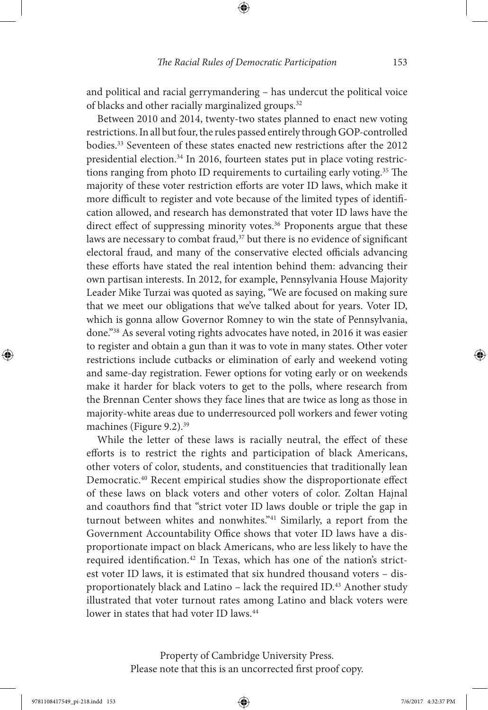and political and racial gerrymandering – has undercut the political voice of blacks and other racially marginalized groups.<sup>32</sup>

Between 2010 and 2014, twenty-two states planned to enact new voting restrictions. In all but four, the rules passed entirely through GOP-controlled bodies.33 Seventeen of these states enacted new restrictions after the 2012 presidential election.34 In 2016, fourteen states put in place voting restrictions ranging from photo ID requirements to curtailing early voting.35 The majority of these voter restriction efforts are voter ID laws, which make it more difficult to register and vote because of the limited types of identification allowed, and research has demonstrated that voter ID laws have the direct effect of suppressing minority votes.<sup>36</sup> Proponents argue that these laws are necessary to combat fraud,<sup>37</sup> but there is no evidence of significant electoral fraud, and many of the conservative elected officials advancing these efforts have stated the real intention behind them: advancing their own partisan interests. In 2012, for example, Pennsylvania House Majority Leader Mike Turzai was quoted as saying, "We are focused on making sure that we meet our obligations that we've talked about for years. Voter ID, which is gonna allow Governor Romney to win the state of Pennsylvania, done."38 As several voting rights advocates have noted, in 2016 it was easier to register and obtain a gun than it was to vote in many states. Other voter restrictions include cutbacks or elimination of early and weekend voting and same-day registration. Fewer options for voting early or on weekends make it harder for black voters to get to the polls, where research from the Brennan Center shows they face lines that are twice as long as those in majority-white areas due to underresourced poll workers and fewer voting machines (Figure 9.2).<sup>39</sup>

While the letter of these laws is racially neutral, the effect of these efforts is to restrict the rights and participation of black Americans, other voters of color, students, and constituencies that traditionally lean Democratic.40 Recent empirical studies show the disproportionate effect of these laws on black voters and other voters of color. Zoltan Hajnal and coauthors find that "strict voter ID laws double or triple the gap in turnout between whites and nonwhites."<sup>41</sup> Similarly, a report from the Government Accountability Office shows that voter ID laws have a disproportionate impact on black Americans, who are less likely to have the required identification.<sup>42</sup> In Texas, which has one of the nation's strictest voter ID laws, it is estimated that six hundred thousand voters – disproportionately black and Latino – lack the required ID.<sup>43</sup> Another study illustrated that voter turnout rates among Latino and black voters were lower in states that had voter ID laws.<sup>44</sup>

> Property of Cambridge University Press. Please note that this is an uncorrected first proof copy.

⊕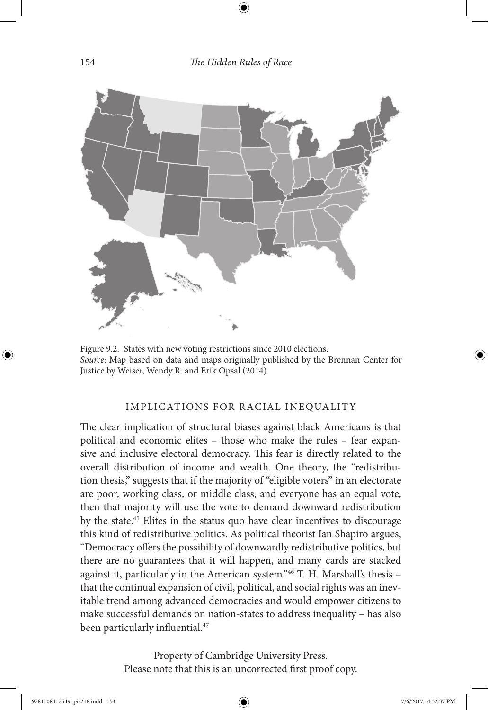

Figure 9.2. States with new voting restrictions since 2010 elections. *Source*: Map based on data and maps originally published by the Brennan Center for Justice by Weiser, Wendy R. and Erik Opsal (2014).

#### IMPLICATIONS FOR RACIAL INEQUALITY

The clear implication of structural biases against black Americans is that political and economic elites – those who make the rules – fear expansive and inclusive electoral democracy. This fear is directly related to the overall distribution of income and wealth. One theory, the "redistribution thesis," suggests that if the majority of "eligible voters" in an electorate are poor, working class, or middle class, and everyone has an equal vote, then that majority will use the vote to demand downward redistribution by the state.45 Elites in the status quo have clear incentives to discourage this kind of redistributive politics. As political theorist Ian Shapiro argues, "Democracy offers the possibility of downwardly redistributive politics, but there are no guarantees that it will happen, and many cards are stacked against it, particularly in the American system."46 T. H. Marshall's thesis – that the continual expansion of civil, political, and social rights was an inevitable trend among advanced democracies and would empower citizens to make successful demands on nation-states to address inequality – has also been particularly influential.<sup>47</sup>

> Property of Cambridge University Press. Please note that this is an uncorrected first proof copy.

⊕